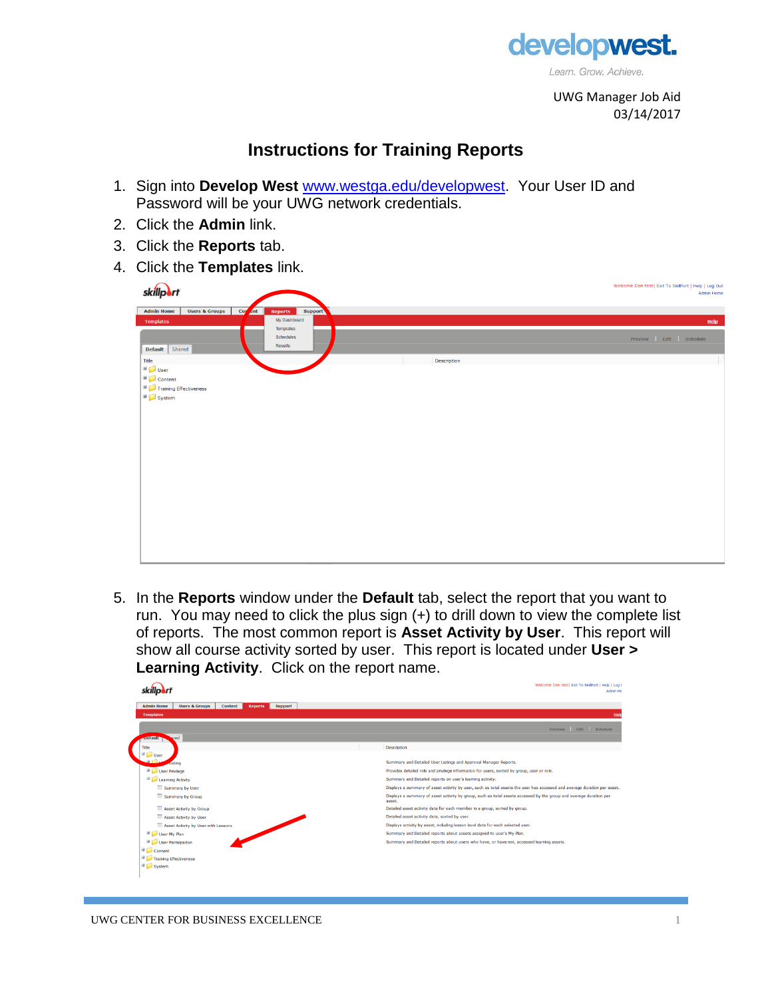

UWG Manager Job Aid 03/14/2017

## **Instructions for Training Reports**

- 1. Sign into **Develop West** [www.westga.edu/developwest.](http://www.westga.edu/developwest) Your User ID and Password will be your UWG network credentials.
- 2. Click the **Admin** link.
- 3. Click the **Reports** tab.
- 4. Click the **Templates** link.



5. In the **Reports** window under the **Default** tab, select the report that you want to run. You may need to click the plus sign (+) to drill down to view the complete list of reports. The most common report is **Asset Activity by User**. This report will show all course activity sorted by user. This report is located under **User > Learning Activity**. Click on the report name.

|                                                                                        | Welcome Dan test  Exit To SkillPort   Help   Log (<br>Admin Ho                                                               |
|----------------------------------------------------------------------------------------|------------------------------------------------------------------------------------------------------------------------------|
| Content<br><b>Admin Home</b><br><b>Users &amp; Groups</b><br><b>Reports</b><br>Support |                                                                                                                              |
| <b>Templates</b>                                                                       | Help                                                                                                                         |
|                                                                                        | Preview Edit Schedule                                                                                                        |
| <b>Default</b><br>gred                                                                 |                                                                                                                              |
| Title                                                                                  | <b>Description</b>                                                                                                           |
| $\Box$<br>User                                                                         |                                                                                                                              |
| disting                                                                                | Summary and Detailed User Listings and Approval Manager Reports.                                                             |
| User Privilege                                                                         | Provides detailed role and privilege information for users, sorted by group, user or role.                                   |
| Learning Activity                                                                      | Summary and Detailed reports on user's learning activity.                                                                    |
| Summary by User                                                                        | Displays a summary of asset activity by user, such as total assets the user has accessed and average duration per asset.     |
| Summary by Group                                                                       | Displays a summary of asset activity by group, such as total assets accessed by the group and average duration per<br>asset. |
| Asset Activity by Group                                                                | Detailed asset activity data for each member in a group, sorted by group.                                                    |
| Asset Activity by User                                                                 | Detailed asset activity data, sorted by user.                                                                                |
| Asset Activity by User with Lessons                                                    | Displays activity by asset, including lesson level data for each selected user.                                              |
| User My Plan                                                                           | Summary and Detailed reports about assets assigned to user's My Plan.                                                        |
| User Participation                                                                     | Summary and Detailed reports about users who have, or have not, accessed learning assets.                                    |
| <b>B</b> Content                                                                       |                                                                                                                              |
| Đ<br>Training Effectiveness                                                            |                                                                                                                              |
| System                                                                                 |                                                                                                                              |
|                                                                                        |                                                                                                                              |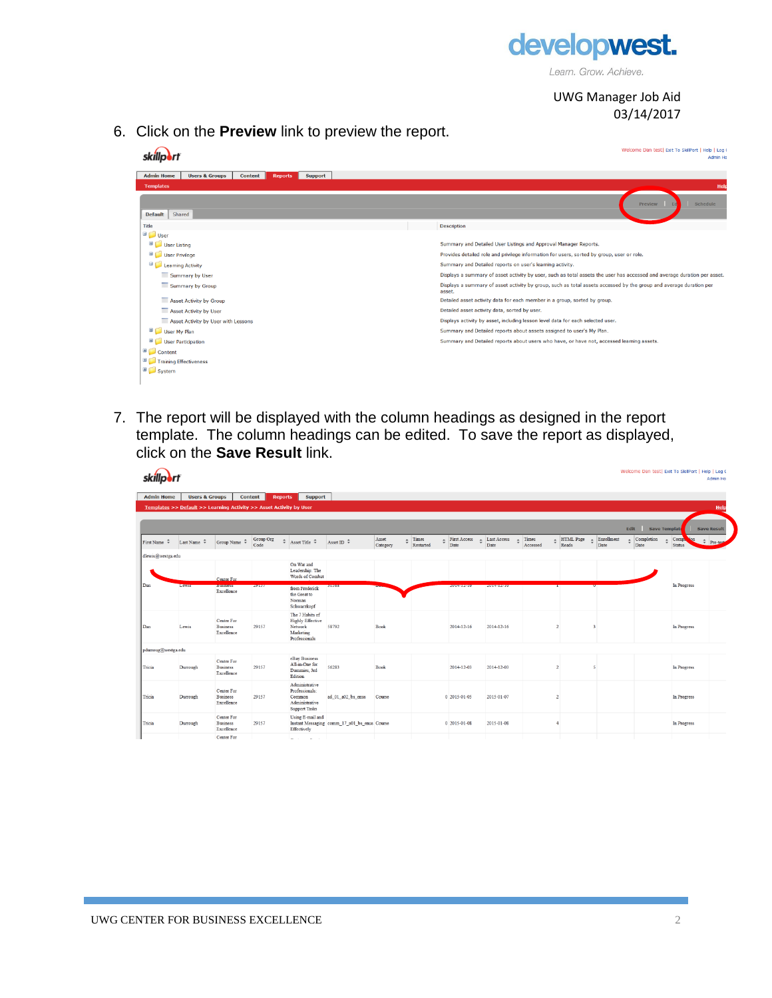

Learn. Grow. Achieve.

UWG Manager Job Aid 03/14/2017

6. Click on the **Preview** link to preview the report.

|                                                                                                      | Welcome Dan test  Exit To SkillPort   Help   Log (<br><b>Admin Ho</b>                                                        |
|------------------------------------------------------------------------------------------------------|------------------------------------------------------------------------------------------------------------------------------|
| <b>Users &amp; Groups</b><br><b>Admin Home</b><br><b>Content</b><br><b>Support</b><br><b>Reports</b> |                                                                                                                              |
| <b>Templates</b>                                                                                     | Help                                                                                                                         |
| Shared<br><b>Default</b>                                                                             | Schedule<br><b>Preview</b>                                                                                                   |
| Title                                                                                                | <b>Description</b>                                                                                                           |
| <b>D</b> User                                                                                        |                                                                                                                              |
| User Listing                                                                                         | Summary and Detailed User Listings and Approval Manager Reports.                                                             |
| User Privilege                                                                                       | Provides detailed role and privilege information for users, sorted by group, user or role.                                   |
| Learning Activity                                                                                    | Summary and Detailed reports on user's learning activity.                                                                    |
| Summary by User                                                                                      | Displays a summary of asset activity by user, such as total assets the user has accessed and average duration per asset.     |
| Summary by Group                                                                                     | Displays a summary of asset activity by group, such as total assets accessed by the group and average duration per<br>asset. |
| Asset Activity by Group                                                                              | Detailed asset activity data for each member in a group, sorted by group.                                                    |
| Asset Activity by User                                                                               | Detailed asset activity data, sorted by user.                                                                                |
| Asset Activity by User with Lessons                                                                  | Displays activity by asset, including lesson level data for each selected user.                                              |
| User My Plan                                                                                         | Summary and Detailed reports about assets assigned to user's My Plan.                                                        |
| User Participation                                                                                   | Summary and Detailed reports about users who have, or have not, accessed learning assets.                                    |
| Content                                                                                              |                                                                                                                              |
| Training Effectiveness                                                                               |                                                                                                                              |
| System                                                                                               |                                                                                                                              |
|                                                                                                      |                                                                                                                              |

7. The report will be displayed with the column headings as designed in the report template. The column headings can be edited. To save the report as displayed, click on the **Save Result** link.

|                      |                                                                     |                                             |                           |                                                                                      |                                              |                   |                                |                      |                            |                               |                           |                    | Welcome Dan test  Exit To SkillPort   Help   Log C |                                                     | Admin Ho           |
|----------------------|---------------------------------------------------------------------|---------------------------------------------|---------------------------|--------------------------------------------------------------------------------------|----------------------------------------------|-------------------|--------------------------------|----------------------|----------------------------|-------------------------------|---------------------------|--------------------|----------------------------------------------------|-----------------------------------------------------|--------------------|
| <b>Admin Home</b>    | <b>Users &amp; Groups</b>                                           |                                             | Content<br><b>Reports</b> | <b>Support</b>                                                                       |                                              |                   |                                |                      |                            |                               |                           |                    |                                                    |                                                     |                    |
|                      | Templates >> Default >> Learning Activity >> Asset Activity by User |                                             |                           |                                                                                      |                                              |                   |                                |                      |                            |                               |                           |                    |                                                    |                                                     | Help               |
|                      |                                                                     |                                             |                           |                                                                                      |                                              |                   |                                |                      |                            |                               |                           |                    |                                                    |                                                     |                    |
|                      |                                                                     |                                             |                           |                                                                                      |                                              |                   |                                |                      |                            |                               |                           |                    | Edit<br><b>Save Template</b>                       |                                                     | <b>Save Result</b> |
| First Name $\hat{z}$ | Last Name $\div$                                                    | Group Name $\hat{\div}$                     | Group Org<br>Code         | $\div$ Asset Title $\div$                                                            | Asset ID $\hat{z}$                           | Asset<br>Category | $\triangle$ Times<br>Restarted | First Access<br>Date | $\div$ Last Access<br>Date | $\triangle$ Times<br>Accessed | $\div$ HTML Page<br>Reads | Enrollment<br>Date | Completion<br>Date                                 | Comp<br>$on$<br>$\hat{\mathbb{I}}$<br><b>Status</b> | $=$ Pre-ter        |
| dlewis@westga.edu    |                                                                     |                                             |                           |                                                                                      |                                              |                   |                                |                      |                            |                               |                           |                    |                                                    |                                                     |                    |
|                      |                                                                     | Center For                                  |                           | On War and<br>Leadership: The<br>Words of Combat                                     |                                              |                   |                                |                      |                            |                               |                           |                    |                                                    |                                                     |                    |
| Dan                  | Lewis                                                               | <b>FOISSEIGSS</b><br>Excellence             | 29137                     | from Frederick<br>the Great to<br>Norman<br>Schwarzkopf                              | 30388                                        |                   |                                | 2014-12-10           | 2014-12-10                 |                               |                           |                    |                                                    | In Progress                                         |                    |
| Dan                  | Lewis                                                               | Center For<br><b>Business</b><br>Excellence | 29157                     | The 7 Habits of<br><b>Highly Effective</b><br>Network<br>Marketing<br>Professionals  | 58792                                        | Book              |                                | 2014-12-16           | 2014-12-16                 |                               |                           |                    |                                                    | In Progress                                         |                    |
| pdurroug@westga.edu  |                                                                     |                                             |                           |                                                                                      |                                              |                   |                                |                      |                            |                               |                           |                    |                                                    |                                                     |                    |
| Tricia               | Durrough                                                            | Center For<br><b>Business</b><br>Excellence | 29157                     | eBay Business<br>All-in-One for<br>Dummies, 3rd<br>Edition                           | 56283                                        | Book              |                                | 2014-12-03           | 2014-12-03                 |                               | $\overline{2}$            | K                  |                                                    | In Progress                                         |                    |
| Tricia               | Durrough                                                            | Center For<br><b>Business</b><br>Excellence | 29157                     | Administrative<br>Professionals:<br>Common<br>Administrative<br><b>Support Tasks</b> | ad 01 a02 bs enus                            | Course            |                                | 0 2015-01-05         | 2015-01-07                 |                               |                           |                    |                                                    | In Progress                                         |                    |
| Tricia               | Durrough                                                            | Center For<br><b>Business</b><br>Excellence | 29157                     | Using E-mail and<br>Effectively                                                      | Instant Messaging comm 17 a01 bs enus Course |                   |                                | 0 2015-01-08         | 2015-01-08                 |                               |                           |                    |                                                    | In Progress                                         |                    |
|                      |                                                                     | Center For                                  |                           | All Controllers                                                                      |                                              |                   |                                |                      |                            |                               |                           |                    |                                                    |                                                     |                    |